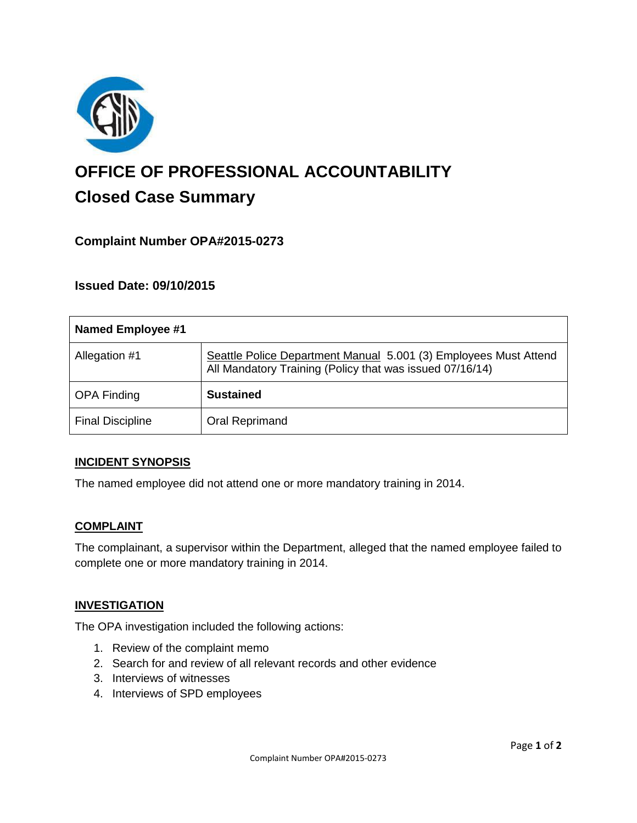

# **OFFICE OF PROFESSIONAL ACCOUNTABILITY Closed Case Summary**

# **Complaint Number OPA#2015-0273**

## **Issued Date: 09/10/2015**

| <b>Named Employee #1</b> |                                                                                                                              |
|--------------------------|------------------------------------------------------------------------------------------------------------------------------|
| Allegation #1            | Seattle Police Department Manual 5.001 (3) Employees Must Attend<br>All Mandatory Training (Policy that was issued 07/16/14) |
| <b>OPA Finding</b>       | <b>Sustained</b>                                                                                                             |
| <b>Final Discipline</b>  | Oral Reprimand                                                                                                               |

#### **INCIDENT SYNOPSIS**

The named employee did not attend one or more mandatory training in 2014.

#### **COMPLAINT**

The complainant, a supervisor within the Department, alleged that the named employee failed to complete one or more mandatory training in 2014.

#### **INVESTIGATION**

The OPA investigation included the following actions:

- 1. Review of the complaint memo
- 2. Search for and review of all relevant records and other evidence
- 3. Interviews of witnesses
- 4. Interviews of SPD employees